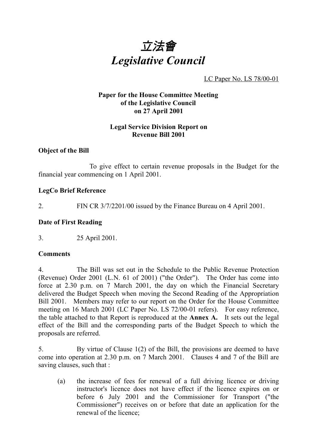

LC Paper No. LS 78/00-01

## **Paper for the House Committee Meeting of the Legislative Council on 27 April 2001**

## **Legal Service Division Report on Revenue Bill 2001**

## **Object of the Bill**

To give effect to certain revenue proposals in the Budget for the financial year commencing on 1 April 2001.

## **LegCo Brief Reference**

2. FIN CR 3/7/2201/00 issued by the Finance Bureau on 4 April 2001.

## **Date of First Reading**

3. 25 April 2001.

#### **Comments**

4. The Bill was set out in the Schedule to the Public Revenue Protection (Revenue) Order 2001 (L.N. 61 of 2001) ("the Order"). The Order has come into force at 2.30 p.m. on 7 March 2001, the day on which the Financial Secretary delivered the Budget Speech when moving the Second Reading of the Appropriation Bill 2001. Members may refer to our report on the Order for the House Committee meeting on 16 March 2001 (LC Paper No. LS 72/00-01 refers). For easy reference, the table attached to that Report is reproduced at the **Annex A.** It sets out the legal effect of the Bill and the corresponding parts of the Budget Speech to which the proposals are referred.

5. By virtue of Clause 1(2) of the Bill, the provisions are deemed to have come into operation at 2.30 p.m. on 7 March 2001. Clauses 4 and 7 of the Bill are saving clauses, such that :

(a) the increase of fees for renewal of a full driving licence or driving instructor's licence does not have effect if the licence expires on or before 6 July 2001 and the Commissioner for Transport ("the Commissioner") receives on or before that date an application for the renewal of the licence;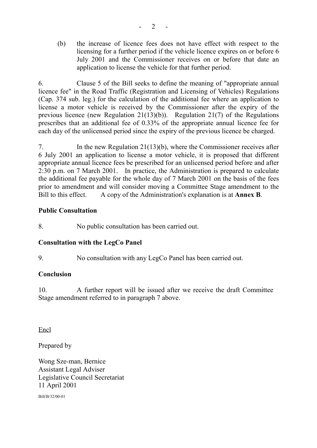(b) the increase of licence fees does not have effect with respect to the licensing for a further period if the vehicle licence expires on or before 6 July 2001 and the Commissioner receives on or before that date an application to license the vehicle for that further period.

6. Clause 5 of the Bill seeks to define the meaning of "appropriate annual licence fee" in the Road Traffic (Registration and Licensing of Vehicles) Regulations (Cap. 374 sub. leg.) for the calculation of the additional fee where an application to license a motor vehicle is received by the Commissioner after the expiry of the previous licence (new Regulation 21(13)(b)). Regulation 21(7) of the Regulations prescribes that an additional fee of 0.33% of the appropriate annual licence fee for each day of the unlicensed period since the expiry of the previous licence be charged.

7. In the new Regulation 21(13)(b), where the Commissioner receives after 6 July 2001 an application to license a motor vehicle, it is proposed that different appropriate annual licence fees be prescribed for an unlicensed period before and after 2:30 p.m. on 7 March 2001. In practice, the Administration is prepared to calculate the additional fee payable for the whole day of 7 March 2001 on the basis of the fees prior to amendment and will consider moving a Committee Stage amendment to the Bill to this effect. A copy of the Administration's explanation is at **Annex B**.

## **Public Consultation**

8. No public consultation has been carried out.

## **Consultation with the LegCo Panel**

9. No consultation with any LegCo Panel has been carried out.

## **Conclusion**

10. A further report will be issued after we receive the draft Committee Stage amendment referred to in paragraph 7 above.

Encl

Prepared by

Wong Sze-man, Bernice Assistant Legal Adviser Legislative Council Secretariat 11 April 2001

Bill/B/32/00-01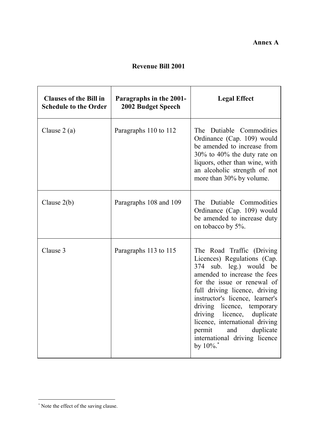# **Revenue Bill 2001**

| <b>Clauses of the Bill in</b><br><b>Schedule to the Order</b> | Paragraphs in the 2001-<br><b>2002 Budget Speech</b> | <b>Legal Effect</b>                                                                                                                                                                                                                                                                                                                                                                                |
|---------------------------------------------------------------|------------------------------------------------------|----------------------------------------------------------------------------------------------------------------------------------------------------------------------------------------------------------------------------------------------------------------------------------------------------------------------------------------------------------------------------------------------------|
| Clause $2(a)$                                                 | Paragraphs 110 to 112                                | The Dutiable Commodities<br>Ordinance (Cap. 109) would<br>be amended to increase from<br>$30\%$ to 40% the duty rate on<br>liquors, other than wine, with<br>an alcoholic strength of not<br>more than 30% by volume.                                                                                                                                                                              |
| Clause $2(b)$                                                 | Paragraphs 108 and 109                               | The Dutiable Commodities<br>Ordinance (Cap. 109) would<br>be amended to increase duty<br>on tobacco by 5%.                                                                                                                                                                                                                                                                                         |
| Clause 3                                                      | Paragraphs 113 to 115                                | The Road Traffic (Driving<br>Licences) Regulations (Cap.<br>374 sub. leg.) would be<br>amended to increase the fees<br>for the issue or renewal of<br>full driving licence, driving<br>instructor's licence, learner's<br>driving licence, temporary<br>driving licence, duplicate<br>licence, international driving<br>duplicate<br>permit<br>and<br>international driving licence<br>by $10\%$ . |

 \* Note the effect of the saving clause.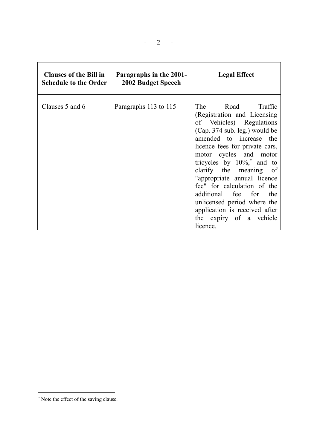| <b>Clauses of the Bill in</b><br><b>Schedule to the Order</b> | Paragraphs in the 2001-<br>2002 Budget Speech | <b>Legal Effect</b>                                                                                                                                                                                                                                                                                                                                                                                                                                              |
|---------------------------------------------------------------|-----------------------------------------------|------------------------------------------------------------------------------------------------------------------------------------------------------------------------------------------------------------------------------------------------------------------------------------------------------------------------------------------------------------------------------------------------------------------------------------------------------------------|
| Clauses 5 and 6                                               | Paragraphs 113 to 115                         | The Road Traffic<br>(Registration and Licensing)<br>of Vehicles) Regulations<br>(Cap. 374 sub. leg.) would be<br>amended to increase the<br>licence fees for private cars,<br>motor cycles and motor<br>tricycles by $10\%$ , and to<br>clarify the meaning of<br>"appropriate annual licence<br>fee" for calculation of the<br>additional fee for<br>the<br>unlicensed period where the<br>application is received after<br>the expiry of a vehicle<br>licence. |

 \* Note the effect of the saving clause.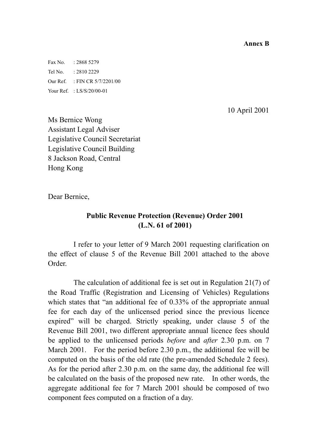**Annex B**

Fax No. : 2868 5279 Tel No. : 2810 2229 Our Ref. : FIN CR 5/7/2201/00 Your Ref. : LS/S/20/00-01

10 April 2001

Ms Bernice Wong Assistant Legal Adviser Legislative Council Secretariat Legislative Council Building 8 Jackson Road, Central Hong Kong

Dear Bernice,

# **Public Revenue Protection (Revenue) Order 2001 (L.N. 61 of 2001)**

I refer to your letter of 9 March 2001 requesting clarification on the effect of clause 5 of the Revenue Bill 2001 attached to the above Order.

The calculation of additional fee is set out in Regulation 21(7) of the Road Traffic (Registration and Licensing of Vehicles) Regulations which states that "an additional fee of 0.33% of the appropriate annual fee for each day of the unlicensed period since the previous licence expired" will be charged. Strictly speaking, under clause 5 of the Revenue Bill 2001, two different appropriate annual licence fees should be applied to the unlicensed periods *before* and *after* 2.30 p.m. on 7 March 2001. For the period before 2.30 p.m., the additional fee will be computed on the basis of the old rate (the pre-amended Schedule 2 fees). As for the period after 2.30 p.m. on the same day, the additional fee will be calculated on the basis of the proposed new rate. In other words, the aggregate additional fee for 7 March 2001 should be composed of two component fees computed on a fraction of a day.